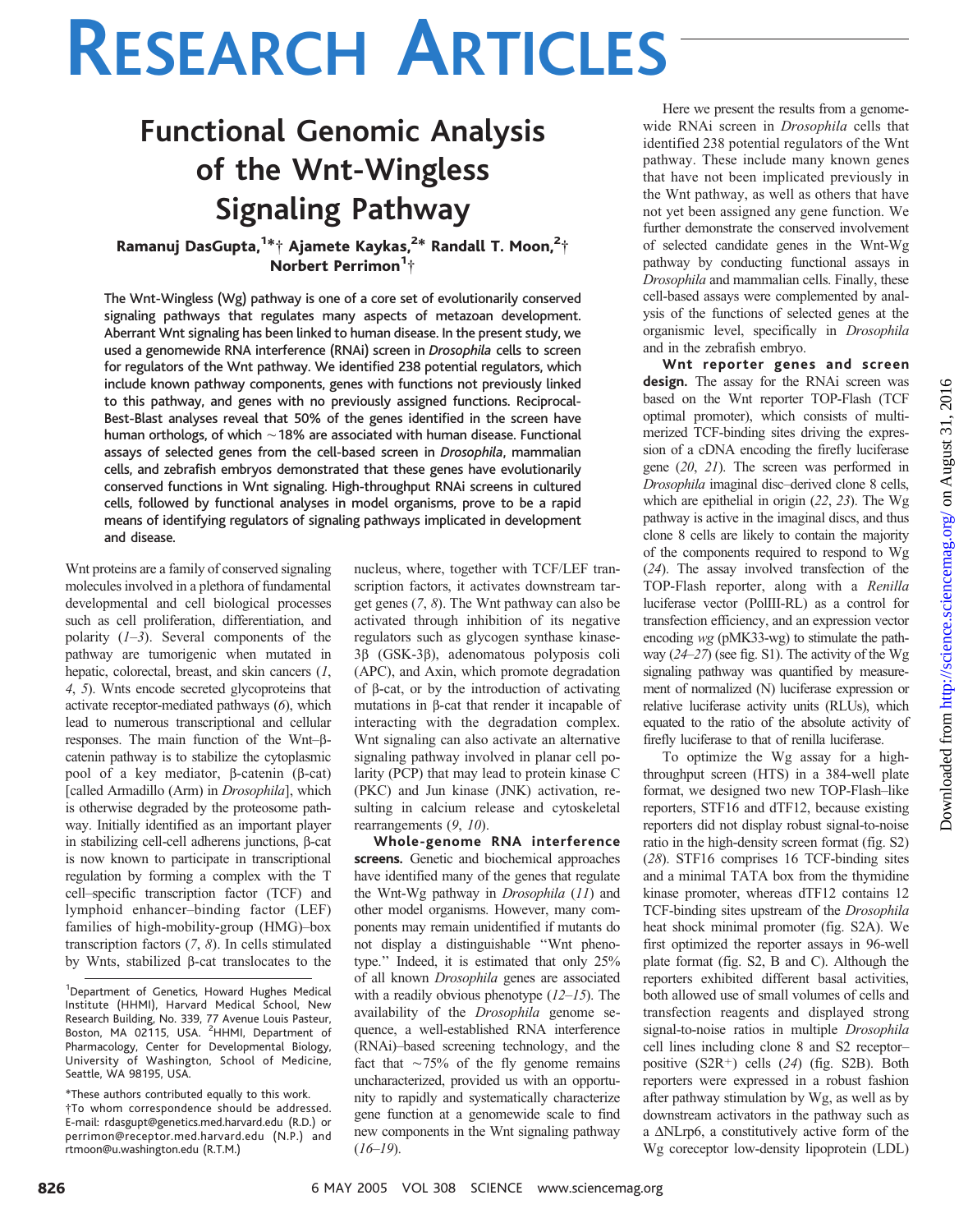## Functional Genomic Analysis of the Wnt-Wingless Signaling Pathway

### Ramanuj DasGupta,<sup>1\*</sup>† Ajamete Kaykas,<sup>2\*</sup> Randall T. Moon,<sup>2</sup>† Norbert Perrimon<sup>1</sup>†

The Wnt-Wingless (Wg) pathway is one of a core set of evolutionarily conserved signaling pathways that regulates many aspects of metazoan development. Aberrant Wnt signaling has been linked to human disease. In the present study, we used a genomewide RNA interference (RNAi) screen in Drosophila cells to screen for regulators of the Wnt pathway. We identified 238 potential regulators, which include known pathway components, genes with functions not previously linked to this pathway, and genes with no previously assigned functions. Reciprocal-Best-Blast analyses reveal that 50% of the genes identified in the screen have human orthologs, of which  $\sim$  18% are associated with human disease. Functional assays of selected genes from the cell-based screen in Drosophila, mammalian cells, and zebrafish embryos demonstrated that these genes have evolutionarily conserved functions in Wnt signaling. High-throughput RNAi screens in cultured cells, followed by functional analyses in model organisms, prove to be a rapid means of identifying regulators of signaling pathways implicated in development and disease.

Wnt proteins are a family of conserved signaling molecules involved in a plethora of fundamental developmental and cell biological processes such as cell proliferation, differentiation, and polarity  $(1-3)$ . Several components of the pathway are tumorigenic when mutated in hepatic, colorectal, breast, and skin cancers  $(1,$ 4, 5). Wnts encode secreted glycoproteins that activate receptor-mediated pathways (6), which lead to numerous transcriptional and cellular responses. The main function of the Wnt- $\beta$ catenin pathway is to stabilize the cytoplasmic pool of a key mediator,  $\beta$ -catenin ( $\beta$ -cat) [called Armadillo (Arm) in Drosophila], which is otherwise degraded by the proteosome pathway. Initially identified as an important player in stabilizing cell-cell adherens junctions,  $\beta$ -cat is now known to participate in transcriptional regulation by forming a complex with the T cell–specific transcription factor (TCF) and lymphoid enhancer–binding factor (LEF) families of high-mobility-group (HMG)–box transcription factors (7, 8). In cells stimulated by Wnts, stabilized b-cat translocates to the nucleus, where, together with TCF/LEF transcription factors, it activates downstream target genes (7, 8). The Wnt pathway can also be activated through inhibition of its negative regulators such as glycogen synthase kinase-3b (GSK-3b), adenomatous polyposis coli (APC), and Axin, which promote degradation of  $\beta$ -cat, or by the introduction of activating mutations in b-cat that render it incapable of interacting with the degradation complex. Wnt signaling can also activate an alternative signaling pathway involved in planar cell polarity (PCP) that may lead to protein kinase C (PKC) and Jun kinase (JNK) activation, resulting in calcium release and cytoskeletal rearrangements (9, 10).

Whole-genome RNA interference screens. Genetic and biochemical approaches have identified many of the genes that regulate the Wnt-Wg pathway in Drosophila (11) and other model organisms. However, many components may remain unidentified if mutants do not display a distinguishable ''Wnt phenotype.'' Indeed, it is estimated that only 25% of all known Drosophila genes are associated with a readily obvious phenotype  $(12–15)$ . The availability of the Drosophila genome sequence, a well-established RNA interference (RNAi)–based screening technology, and the fact that  $\sim$ 75% of the fly genome remains uncharacterized, provided us with an opportunity to rapidly and systematically characterize gene function at a genomewide scale to find new components in the Wnt signaling pathway  $(16–19)$ .

Here we present the results from a genomewide RNAi screen in Drosophila cells that identified 238 potential regulators of the Wnt pathway. These include many known genes that have not been implicated previously in the Wnt pathway, as well as others that have not yet been assigned any gene function. We further demonstrate the conserved involvement of selected candidate genes in the Wnt-Wg pathway by conducting functional assays in Drosophila and mammalian cells. Finally, these cell-based assays were complemented by analysis of the functions of selected genes at the organismic level, specifically in Drosophila and in the zebrafish embryo.

Wnt reporter genes and screen design. The assay for the RNAi screen was based on the Wnt reporter TOP-Flash (TCF optimal promoter), which consists of multimerized TCF-binding sites driving the expression of a cDNA encoding the firefly luciferase gene (20, 21). The screen was performed in Drosophila imaginal disc–derived clone 8 cells, which are epithelial in origin (22, 23). The Wg pathway is active in the imaginal discs, and thus clone 8 cells are likely to contain the majority of the components required to respond to Wg (24). The assay involved transfection of the TOP-Flash reporter, along with a Renilla luciferase vector (PolIII-RL) as a control for transfection efficiency, and an expression vector encoding wg (pMK33-wg) to stimulate the pathway  $(24-27)$  (see fig. S1). The activity of the Wg signaling pathway was quantified by measurement of normalized (N) luciferase expression or relative luciferase activity units (RLUs), which equated to the ratio of the absolute activity of firefly luciferase to that of renilla luciferase.

To optimize the Wg assay for a highthroughput screen (HTS) in a 384-well plate format, we designed two new TOP-Flash–like reporters, STF16 and dTF12, because existing reporters did not display robust signal-to-noise ratio in the high-density screen format (fig. S2) (28). STF16 comprises 16 TCF-binding sites and a minimal TATA box from the thymidine kinase promoter, whereas dTF12 contains 12 TCF-binding sites upstream of the Drosophila heat shock minimal promoter (fig. S2A). We first optimized the reporter assays in 96-well plate format (fig. S2, B and C). Although the reporters exhibited different basal activities, both allowed use of small volumes of cells and transfection reagents and displayed strong signal-to-noise ratios in multiple Drosophila cell lines including clone 8 and S2 receptor– positive  $(S2R<sup>+</sup>)$  cells  $(24)$  (fig. S2B). Both reporters were expressed in a robust fashion after pathway stimulation by Wg, as well as by downstream activators in the pathway such as a  $\Delta$ NLrp6, a constitutively active form of the Wg coreceptor low-density lipoprotein (LDL)

<sup>&</sup>lt;sup>1</sup>Department of Genetics, Howard Hughes Medical Institute (HHMI), Harvard Medical School, New Research Building, No. 339, 77 Avenue Louis Pasteur,<br>Boston, MA 02115, USA. <sup>2</sup>HHMI, Department of Pharmacology, Center for Developmental Biology, University of Washington, School of Medicine, Seattle, WA 98195, USA.

<sup>\*</sup>These authors contributed equally to this work. .To whom correspondence should be addressed. E-mail: rdasgupt@genetics.med.harvard.edu (R.D.) or perrimon@receptor.med.harvard.edu (N.P.) and rtmoon@u.washington.edu (R.T.M.)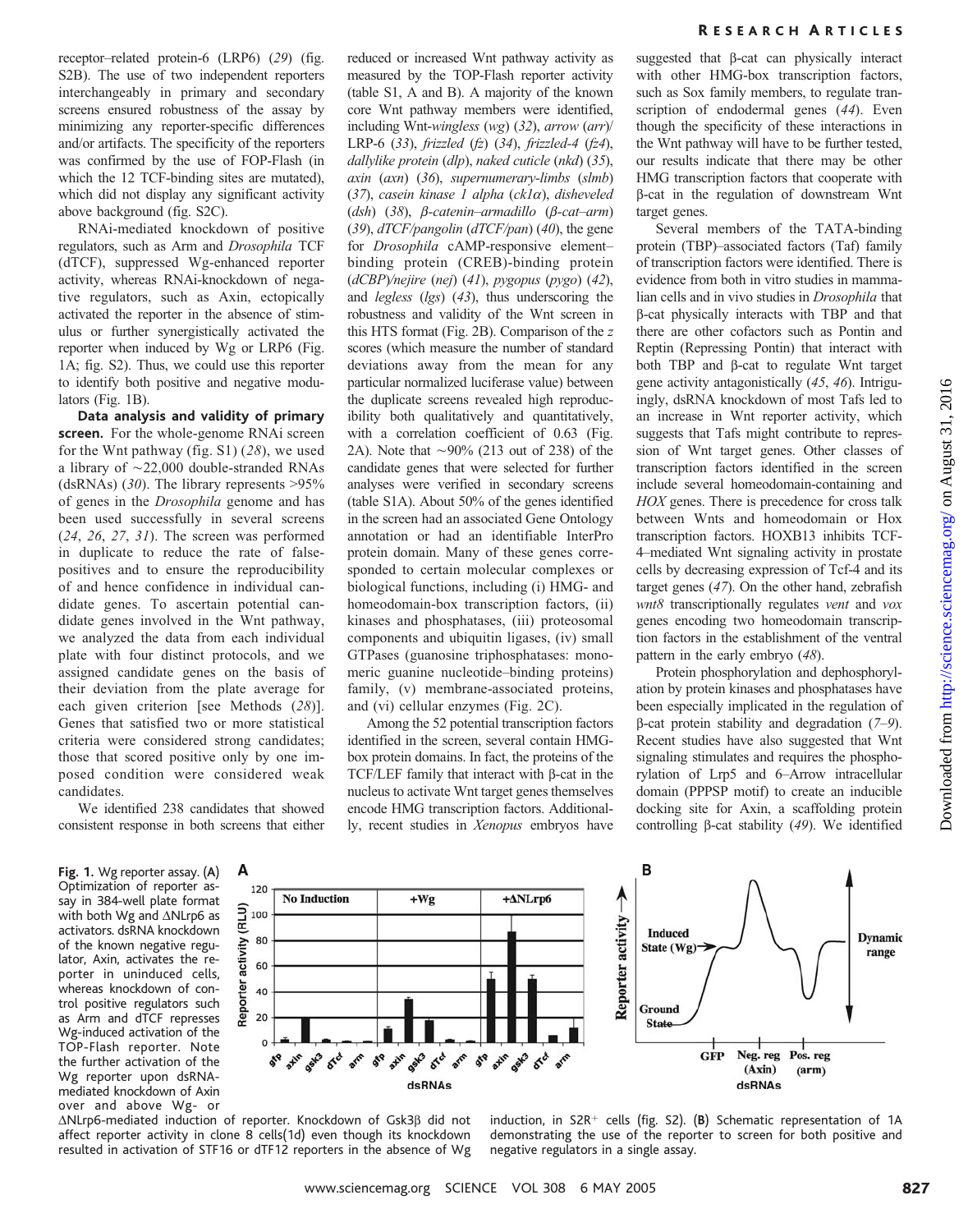receptor–related protein-6 (LRP6) (29) (fig. S2B). The use of two independent reporters interchangeably in primary and secondary screens ensured robustness of the assay by minimizing any reporter-specific differences and/or artifacts. The specificity of the reporters was confirmed by the use of FOP-Flash (in which the 12 TCF-binding sites are mutated), which did not display any significant activity above background (fig. S2C).

RNAi-mediated knockdown of positive regulators, such as Arm and Drosophila TCF (dTCF), suppressed Wg-enhanced reporter activity, whereas RNAi-knockdown of negative regulators, such as Axin, ectopically activated the reporter in the absence of stimulus or further synergistically activated the reporter when induced by Wg or LRP6 (Fig. 1A; fig. S2). Thus, we could use this reporter to identify both positive and negative modulators (Fig. 1B).

Data analysis and validity of primary screen. For the whole-genome RNAi screen for the Wnt pathway (fig. S1) (28), we used a library of  $\sim$ 22,000 double-stranded RNAs (dsRNAs) (30). The library represents  $>95\%$ of genes in the Drosophila genome and has been used successfully in several screens  $(24, 26, 27, 31)$ . The screen was performed in duplicate to reduce the rate of falsepositives and to ensure the reproducibility of and hence confidence in individual candidate genes. To ascertain potential candidate genes involved in the Wnt pathway, we analyzed the data from each individual plate with four distinct protocols, and we assigned candidate genes on the basis of their deviation from the plate average for each given criterion [see Methods (28)]. Genes that satisfied two or more statistical criteria were considered strong candidates; those that scored positive only by one imposed condition were considered weak candidates.

We identified 238 candidates that showed consistent response in both screens that either reduced or increased Wnt pathway activity as measured by the TOP-Flash reporter activity (table S1, A and B). A majority of the known core Wnt pathway members were identified, including Wnt-wingless (wg) (32), arrow (arr)/ LRP-6  $(33)$ , frizzled  $(fz)$   $(34)$ , frizzled-4  $(fz4)$ , dallylike protein (dlp), naked cuticle (nkd) (35), axin (axn) (36), supernumerary-limbs (slmb) (37), casein kinase 1 alpha ( $ckl\alpha$ ), disheveled (dsh)  $(38)$ ,  $\beta$ -catenin-armadillo  $(\beta$ -cat-arm) (39),  $dTCF/pangolin$  ( $dTCF/pan$ ) (40), the gene for Drosophila cAMP-responsive element– binding protein (CREB)-binding protein (dCBP)/nejire (nej) (41), pygopus (pygo) (42), and legless (lgs) (43), thus underscoring the robustness and validity of the Wnt screen in this HTS format (Fig. 2B). Comparison of the z scores (which measure the number of standard deviations away from the mean for any particular normalized luciferase value) between the duplicate screens revealed high reproducibility both qualitatively and quantitatively, with a correlation coefficient of 0.63 (Fig. 2A). Note that  $\sim$ 90% (213 out of 238) of the candidate genes that were selected for further analyses were verified in secondary screens (table S1A). About 50% of the genes identified in the screen had an associated Gene Ontology annotation or had an identifiable InterPro protein domain. Many of these genes corresponded to certain molecular complexes or biological functions, including (i) HMG- and homeodomain-box transcription factors, (ii) kinases and phosphatases, (iii) proteosomal components and ubiquitin ligases, (iv) small GTPases (guanosine triphosphatases: monomeric guanine nucleotide–binding proteins) family, (v) membrane-associated proteins, and (vi) cellular enzymes (Fig. 2C).

Among the 52 potential transcription factors identified in the screen, several contain HMGbox protein domains. In fact, the proteins of the TCF/LEF family that interact with  $\beta$ -cat in the nucleus to activate Wnt target genes themselves encode HMG transcription factors. Additionally, recent studies in Xenopus embryos have suggested that  $\beta$ -cat can physically interact with other HMG-box transcription factors, such as Sox family members, to regulate transcription of endodermal genes (44). Even though the specificity of these interactions in the Wnt pathway will have to be further tested, our results indicate that there may be other HMG transcription factors that cooperate with b-cat in the regulation of downstream Wnt target genes.

Several members of the TATA-binding protein (TBP)–associated factors (Taf) family of transcription factors were identified. There is evidence from both in vitro studies in mammalian cells and in vivo studies in Drosophila that b-cat physically interacts with TBP and that there are other cofactors such as Pontin and Reptin (Repressing Pontin) that interact with both TBP and  $\beta$ -cat to regulate Wnt target gene activity antagonistically (45, 46). Intriguingly, dsRNA knockdown of most Tafs led to an increase in Wnt reporter activity, which suggests that Tafs might contribute to repression of Wnt target genes. Other classes of transcription factors identified in the screen include several homeodomain-containing and HOX genes. There is precedence for cross talk between Wnts and homeodomain or Hox transcription factors. HOXB13 inhibits TCF-4–mediated Wnt signaling activity in prostate cells by decreasing expression of Tcf-4 and its target genes (47). On the other hand, zebrafish wnt8 transcriptionally regulates vent and vox genes encoding two homeodomain transcription factors in the establishment of the ventral pattern in the early embryo (48).

Protein phosphorylation and dephosphorylation by protein kinases and phosphatases have been especially implicated in the regulation of  $\beta$ -cat protein stability and degradation (7–9). Recent studies have also suggested that Wnt signaling stimulates and requires the phosphorylation of Lrp5 and 6–Arrow intracellular domain (PPPSP motif) to create an inducible docking site for Axin, a scaffolding protein controlling  $\beta$ -cat stability (49). We identified

Fig. 1. Wg reporter assay. (A) Optimization of reporter assay in 384-well plate format with both Wg and  $\triangle$ NLrp6 as activators. dsRNA knockdown of the known negative regulator, Axin, activates the reporter in uninduced cells, whereas knockdown of control positive regulators such as Arm and dTCF represses Wg-induced activation of the TOP-Flash reporter. Note the further activation of the Wg reporter upon dsRNAmediated knockdown of Axin over and above Wg- or





 $\Delta$ NLrp6-mediated induction of reporter. Knockdown of Gsk3 $\beta$  did not affect reporter activity in clone 8 cells(1d) even though its knockdown resulted in activation of STF16 or dTF12 reporters in the absence of Wg

induction, in S2R<sup>+</sup> cells (fig. S2). (B) Schematic representation of 1A demonstrating the use of the reporter to screen for both positive and negative regulators in a single assay.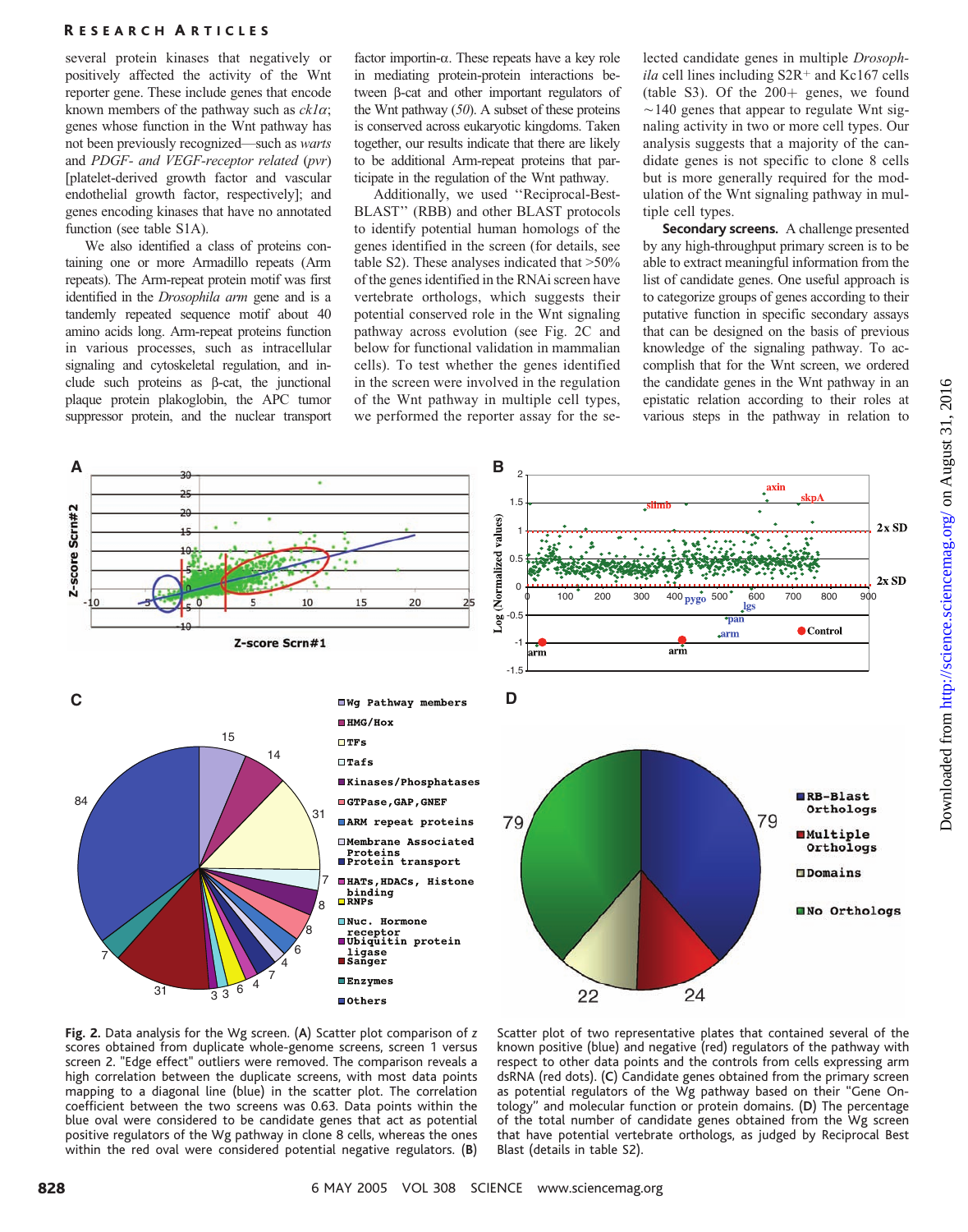several protein kinases that negatively or positively affected the activity of the Wnt reporter gene. These include genes that encode known members of the pathway such as  $ckI\alpha$ ; genes whose function in the Wnt pathway has not been previously recognized—such as warts and PDGF- and VEGF-receptor related (pvr) [platelet-derived growth factor and vascular endothelial growth factor, respectively]; and genes encoding kinases that have no annotated function (see table S1A).

We also identified a class of proteins containing one or more Armadillo repeats (Arm repeats). The Arm-repeat protein motif was first identified in the *Drosophila arm* gene and is a tandemly repeated sequence motif about 40 amino acids long. Arm-repeat proteins function in various processes, such as intracellular signaling and cytoskeletal regulation, and include such proteins as  $\beta$ -cat, the junctional plaque protein plakoglobin, the APC tumor suppressor protein, and the nuclear transport

factor importin-a. These repeats have a key role in mediating protein-protein interactions between b-cat and other important regulators of the Wnt pathway  $(50)$ . A subset of these proteins is conserved across eukaryotic kingdoms. Taken together, our results indicate that there are likely to be additional Arm-repeat proteins that participate in the regulation of the Wnt pathway.

Additionally, we used ''Reciprocal-Best-BLAST'' (RBB) and other BLAST protocols to identify potential human homologs of the genes identified in the screen (for details, see table S2). These analyses indicated that  $>50\%$ of the genes identified in the RNAi screen have vertebrate orthologs, which suggests their potential conserved role in the Wnt signaling pathway across evolution (see Fig. 2C and below for functional validation in mammalian cells). To test whether the genes identified in the screen were involved in the regulation of the Wnt pathway in multiple cell types, we performed the reporter assay for the selected candidate genes in multiple Drosoph $ila$  cell lines including S2R<sup>+</sup> and Kc167 cells (table S3). Of the  $200+$  genes, we found  $\sim$ 140 genes that appear to regulate Wnt signaling activity in two or more cell types. Our analysis suggests that a majority of the candidate genes is not specific to clone 8 cells but is more generally required for the modulation of the Wnt signaling pathway in multiple cell types.

Secondary screens. A challenge presented by any high-throughput primary screen is to be able to extract meaningful information from the list of candidate genes. One useful approach is to categorize groups of genes according to their putative function in specific secondary assays that can be designed on the basis of previous knowledge of the signaling pathway. To accomplish that for the Wnt screen, we ordered the candidate genes in the Wnt pathway in an epistatic relation according to their roles at various steps in the pathway in relation to



Fig. 2. Data analysis for the Wg screen. (A) Scatter plot comparison of z scores obtained from duplicate whole-genome screens, screen 1 versus screen 2. "Edge effect" outliers were removed. The comparison reveals a high correlation between the duplicate screens, with most data points mapping to a diagonal line (blue) in the scatter plot. The correlation coefficient between the two screens was 0.63. Data points within the blue oval were considered to be candidate genes that act as potential positive regulators of the Wg pathway in clone 8 cells, whereas the ones within the red oval were considered potential negative regulators.  $(B)$  Scatter plot of two representative plates that contained several of the known positive (blue) and negative (red) regulators of the pathway with respect to other data points and the controls from cells expressing arm dsRNA (red dots). (C) Candidate genes obtained from the primary screen as potential regulators of the Wg pathway based on their ''Gene Ontology'' and molecular function or protein domains. (D) The percentage of the total number of candidate genes obtained from the Wg screen that have potential vertebrate orthologs, as judged by Reciprocal Best Blast (details in table S2).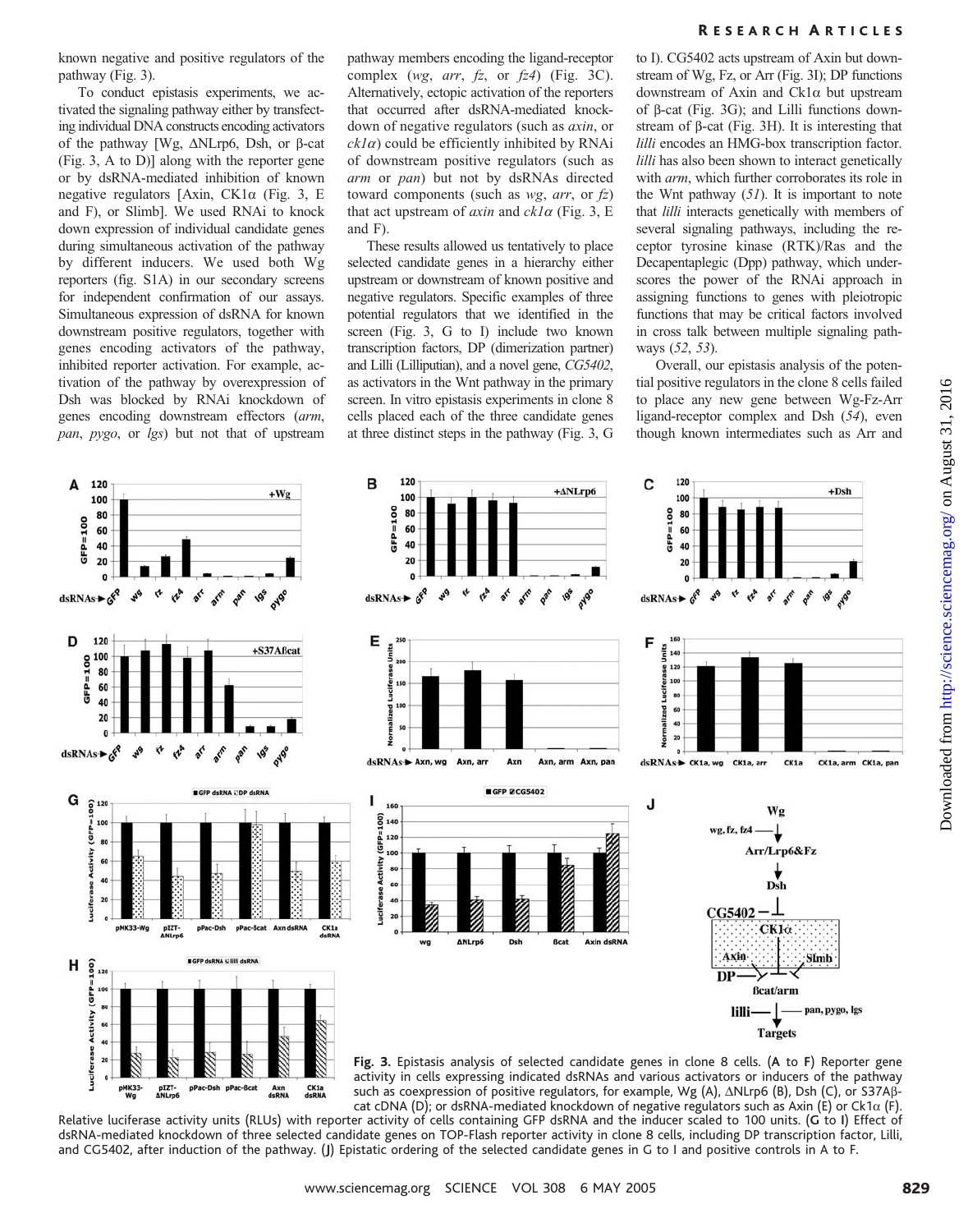known negative and positive regulators of the pathway (Fig. 3).

To conduct epistasis experiments, we activated the signaling pathway either by transfecting individual DNA constructs encoding activators of the pathway  $[Wg, \Delta N Lrp6, Dsh,$  or  $\beta$ -cat (Fig. 3, A to D)] along with the reporter gene or by dsRNA-mediated inhibition of known negative regulators [Axin,  $CK1\alpha$  (Fig. 3, E and F), or Slimb]. We used RNAi to knock down expression of individual candidate genes during simultaneous activation of the pathway by different inducers. We used both Wg reporters (fig. S1A) in our secondary screens for independent confirmation of our assays. Simultaneous expression of dsRNA for known downstream positive regulators, together with genes encoding activators of the pathway, inhibited reporter activation. For example, activation of the pathway by overexpression of Dsh was blocked by RNAi knockdown of genes encoding downstream effectors (arm, pan, pygo, or lgs) but not that of upstream pathway members encoding the ligand-receptor complex (wg, arr,  $fz$ , or  $fz4$ ) (Fig. 3C). Alternatively, ectopic activation of the reporters that occurred after dsRNA-mediated knockdown of negative regulators (such as axin, or  $ckI\alpha$ ) could be efficiently inhibited by RNAi of downstream positive regulators (such as arm or pan) but not by dsRNAs directed toward components (such as  $wg$ , arr, or  $fz$ ) that act upstream of  $axin$  and  $ck1\alpha$  (Fig. 3, E and F).

These results allowed us tentatively to place selected candidate genes in a hierarchy either upstream or downstream of known positive and negative regulators. Specific examples of three potential regulators that we identified in the screen (Fig. 3, G to I) include two known transcription factors, DP (dimerization partner) and Lilli (Lilliputian), and a novel gene, CG5402, as activators in the Wnt pathway in the primary screen. In vitro epistasis experiments in clone 8 cells placed each of the three candidate genes at three distinct steps in the pathway (Fig. 3, G

#### R ESEARCH A RTICLES

to I). CG5402 acts upstream of Axin but downstream of Wg, Fz, or Arr (Fig. 3I); DP functions downstream of Axin and Ck1a but upstream of  $\beta$ -cat (Fig. 3G); and Lilli functions downstream of b-cat (Fig. 3H). It is interesting that lilli encodes an HMG-box transcription factor. lilli has also been shown to interact genetically with *arm*, which further corroborates its role in the Wnt pathway  $(51)$ . It is important to note that *lilli* interacts genetically with members of several signaling pathways, including the receptor tyrosine kinase (RTK)/Ras and the Decapentaplegic (Dpp) pathway, which underscores the power of the RNAi approach in assigning functions to genes with pleiotropic functions that may be critical factors involved in cross talk between multiple signaling pathways (52, 53).

Overall, our epistasis analysis of the potential positive regulators in the clone 8 cells failed to place any new gene between Wg-Fz-Arr ligand-receptor complex and Dsh (54), even though known intermediates such as Arr and



such as coexpression of positive regulators, for example, Wg  $(A)$ ,  $\triangle$ NLrp6  $(B)$ , Dsh  $(C)$ , or S37A $\beta$ cat cDNA (D); or dsRNA-mediated knockdown of negative regulators such as Axin (E) or Ck1 $\alpha$  (F).

Relative luciferase activity units (RLUs) with reporter activity of cells containing GFP dsRNA and the inducer scaled to 100 units. (G to I) Effect of dsRNA-mediated knockdown of three selected candidate genes on TOP-Flash reporter activity in clone 8 cells, including DP transcription factor, Lilli, and CG5402, after induction of the pathway. (J) Epistatic ordering of the selected candidate genes in G to I and positive controls in A to F.

Downloaded from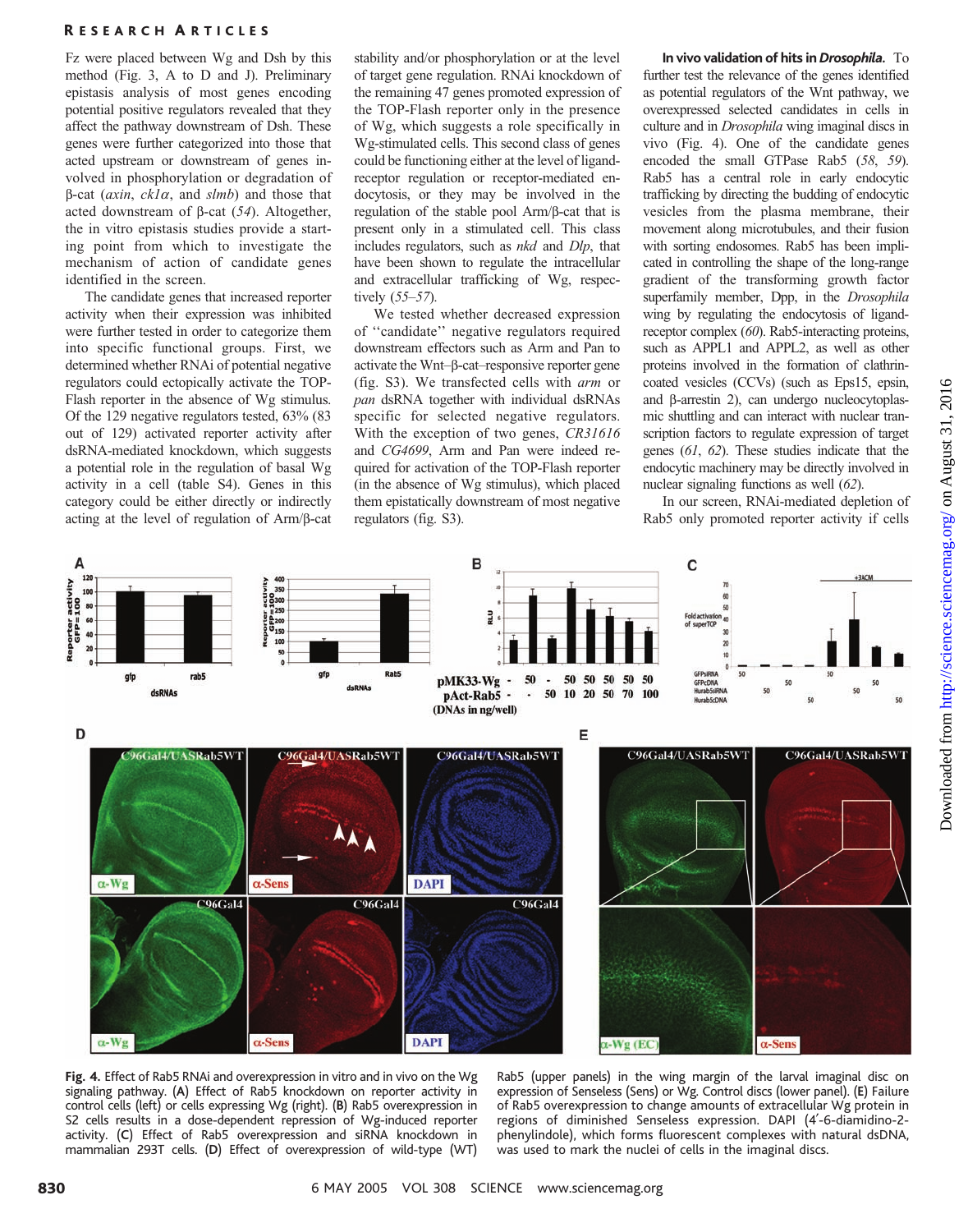Fz were placed between Wg and Dsh by this method (Fig. 3, A to D and J). Preliminary epistasis analysis of most genes encoding potential positive regulators revealed that they affect the pathway downstream of Dsh. These genes were further categorized into those that acted upstream or downstream of genes involved in phosphorylation or degradation of  $\beta$ -cat (*axin*, *ck1a*, and *slmb*) and those that acted downstream of  $\beta$ -cat (54). Altogether, the in vitro epistasis studies provide a starting point from which to investigate the mechanism of action of candidate genes identified in the screen.

The candidate genes that increased reporter activity when their expression was inhibited were further tested in order to categorize them into specific functional groups. First, we determined whether RNAi of potential negative regulators could ectopically activate the TOP-Flash reporter in the absence of Wg stimulus. Of the 129 negative regulators tested, 63% (83 out of 129) activated reporter activity after dsRNA-mediated knockdown, which suggests a potential role in the regulation of basal Wg activity in a cell (table S4). Genes in this category could be either directly or indirectly acting at the level of regulation of Arm/b-cat

stability and/or phosphorylation or at the level of target gene regulation. RNAi knockdown of the remaining 47 genes promoted expression of the TOP-Flash reporter only in the presence of Wg, which suggests a role specifically in Wg-stimulated cells. This second class of genes could be functioning either at the level of ligandreceptor regulation or receptor-mediated endocytosis, or they may be involved in the regulation of the stable pool Arm/b-cat that is present only in a stimulated cell. This class includes regulators, such as nkd and Dlp, that have been shown to regulate the intracellular and extracellular trafficking of Wg, respectively (55–57).

We tested whether decreased expression of ''candidate'' negative regulators required downstream effectors such as Arm and Pan to activate the Wnt–b-cat–responsive reporter gene (fig. S3). We transfected cells with arm or pan dsRNA together with individual dsRNAs specific for selected negative regulators. With the exception of two genes, CR31616 and CG4699, Arm and Pan were indeed required for activation of the TOP-Flash reporter (in the absence of Wg stimulus), which placed them epistatically downstream of most negative regulators (fig. S3).

#### In vivo validation of hits in Drosophila. To

further test the relevance of the genes identified as potential regulators of the Wnt pathway, we overexpressed selected candidates in cells in culture and in *Drosophila* wing imaginal discs in vivo (Fig. 4). One of the candidate genes encoded the small GTPase Rab5 (58, 59). Rab5 has a central role in early endocytic trafficking by directing the budding of endocytic vesicles from the plasma membrane, their movement along microtubules, and their fusion with sorting endosomes. Rab5 has been implicated in controlling the shape of the long-range gradient of the transforming growth factor superfamily member, Dpp, in the Drosophila wing by regulating the endocytosis of ligandreceptor complex (60). Rab5-interacting proteins, such as APPL1 and APPL2, as well as other proteins involved in the formation of clathrincoated vesicles (CCVs) (such as Eps15, epsin, and  $\beta$ -arrestin 2), can undergo nucleocytoplasmic shuttling and can interact with nuclear transcription factors to regulate expression of target genes (61, 62). These studies indicate that the endocytic machinery may be directly involved in nuclear signaling functions as well (62).

In our screen, RNAi-mediated depletion of Rab5 only promoted reporter activity if cells





Rab5 (upper panels) in the wing margin of the larval imaginal disc on expression of Senseless (Sens) or Wg. Control discs (lower panel). (E) Failure of Rab5 overexpression to change amounts of extracellular Wg protein in regions of diminished Senseless expression. DAPI (4'-6-diamidino-2phenylindole), which forms fluorescent complexes with natural dsDNA, was used to mark the nuclei of cells in the imaginal discs.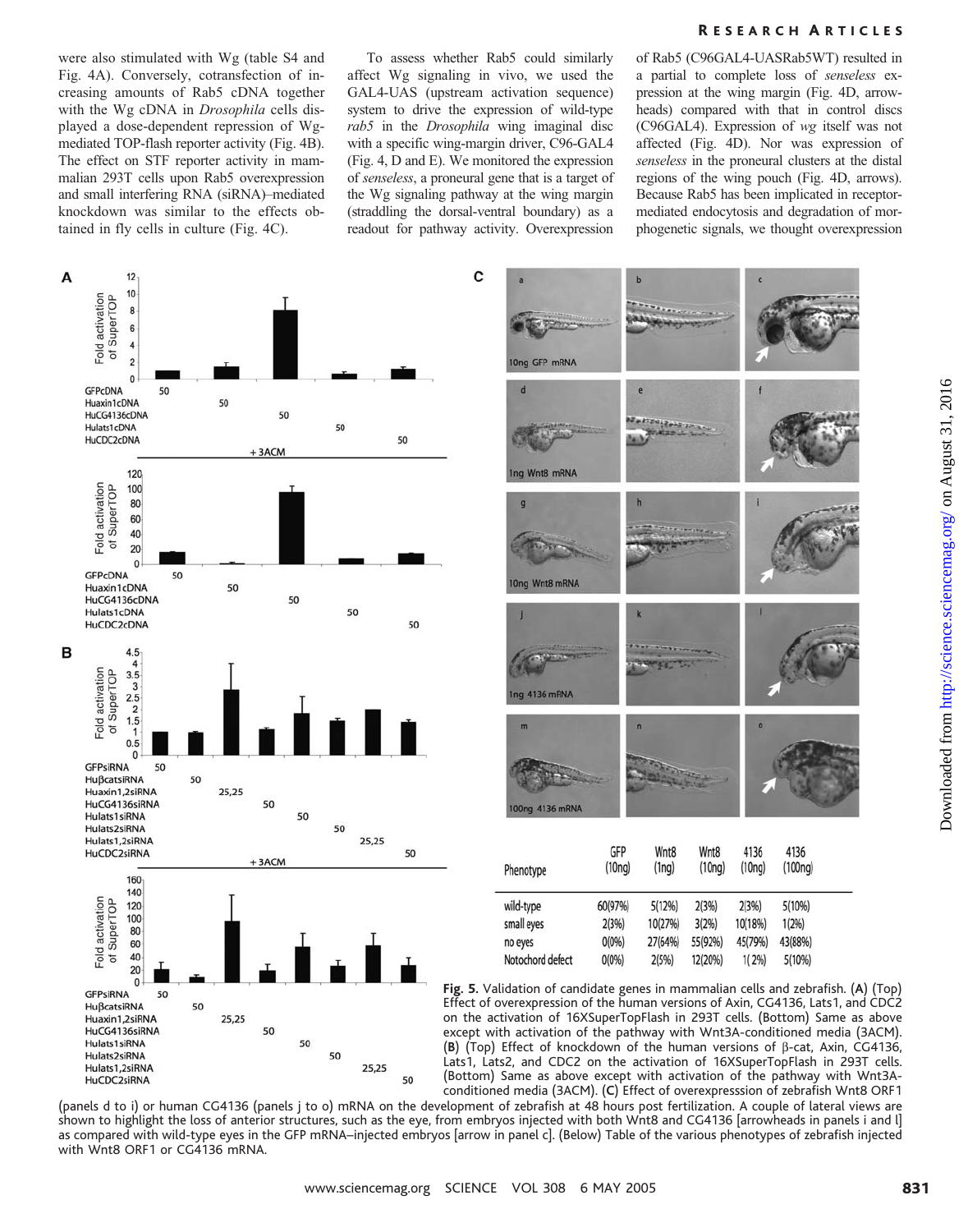were also stimulated with Wg (table S4 and Fig. 4A). Conversely, cotransfection of increasing amounts of Rab5 cDNA together with the Wg cDNA in Drosophila cells displayed a dose-dependent repression of Wgmediated TOP-flash reporter activity (Fig. 4B). The effect on STF reporter activity in mammalian 293T cells upon Rab5 overexpression and small interfering RNA (siRNA)–mediated knockdown was similar to the effects obtained in fly cells in culture (Fig. 4C).

To assess whether Rab5 could similarly affect Wg signaling in vivo, we used the GAL4-UAS (upstream activation sequence) system to drive the expression of wild-type rab5 in the Drosophila wing imaginal disc with a specific wing-margin driver, C96-GAL4 (Fig. 4, D and E). We monitored the expression of senseless, a proneural gene that is a target of the Wg signaling pathway at the wing margin (straddling the dorsal-ventral boundary) as a readout for pathway activity. Overexpression

of Rab5 (C96GAL4-UASRab5WT) resulted in a partial to complete loss of senseless expression at the wing margin (Fig. 4D, arrowheads) compared with that in control discs (C96GAL4). Expression of wg itself was not affected (Fig. 4D). Nor was expression of senseless in the proneural clusters at the distal regions of the wing pouch (Fig. 4D, arrows). Because Rab5 has been implicated in receptormediated endocytosis and degradation of morphogenetic signals, we thought overexpression



(panels d to i) or human CG4136 (panels j to o) mRNA on the development of zebrafish at 48 hours post fertilization. A couple of lateral views are shown to highlight the loss of anterior structures, such as the eye, from embryos injected with both Wnt8 and CG4136 [arrowheads in panels i and l] as compared with wild-type eyes in the GFP mRNA–injected embryos [arrow in panel c]. (Below) Table of the various phenotypes of zebrafish injected with Wnt8 ORF1 or CG4136 mRNA.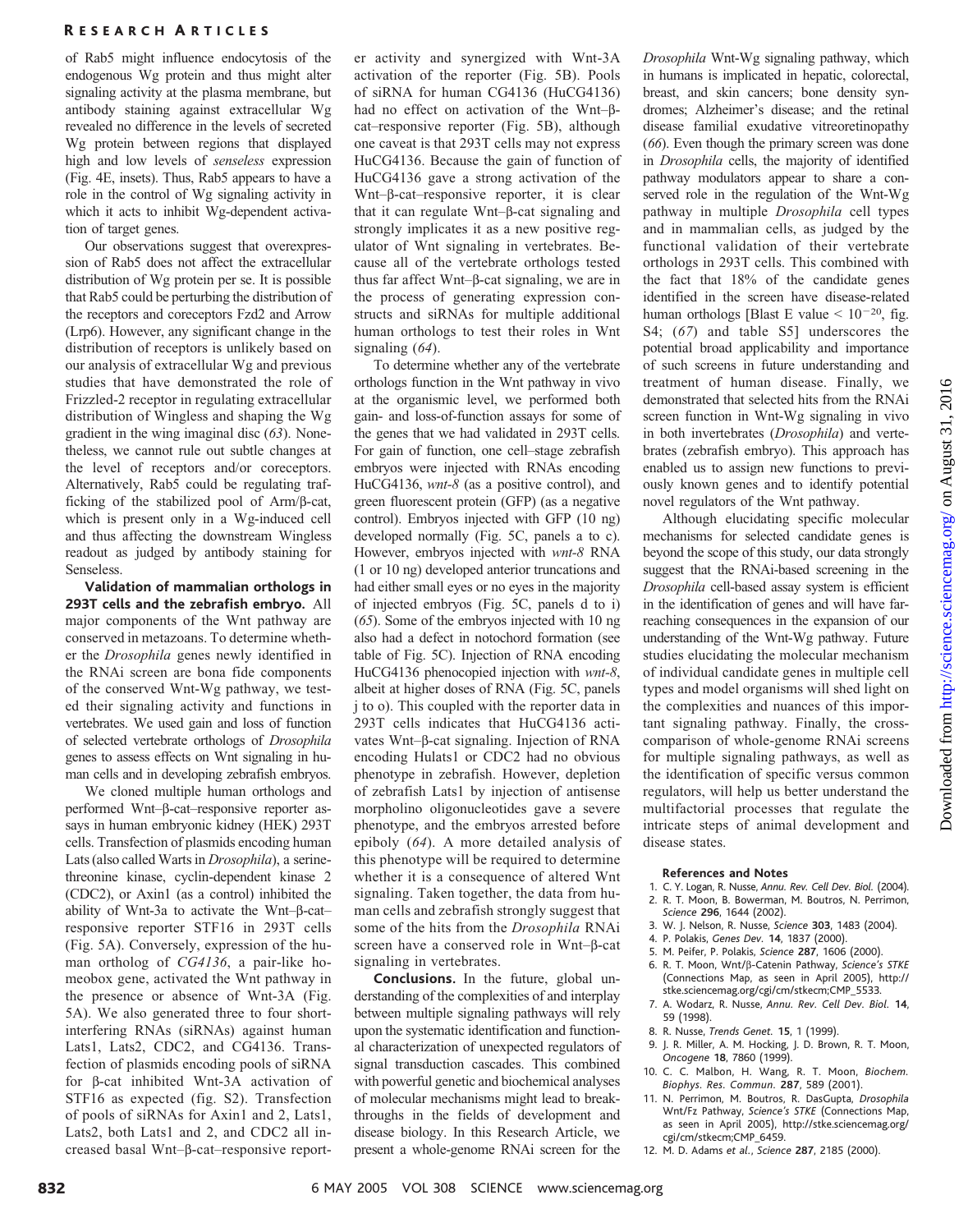of Rab5 might influence endocytosis of the endogenous Wg protein and thus might alter signaling activity at the plasma membrane, but antibody staining against extracellular Wg revealed no difference in the levels of secreted Wg protein between regions that displayed high and low levels of senseless expression (Fig. 4E, insets). Thus, Rab5 appears to have a role in the control of Wg signaling activity in which it acts to inhibit Wg-dependent activation of target genes.

Our observations suggest that overexpression of Rab5 does not affect the extracellular distribution of Wg protein per se. It is possible that Rab5 could be perturbing the distribution of the receptors and coreceptors Fzd2 and Arrow (Lrp6). However, any significant change in the distribution of receptors is unlikely based on our analysis of extracellular Wg and previous studies that have demonstrated the role of Frizzled-2 receptor in regulating extracellular distribution of Wingless and shaping the Wg gradient in the wing imaginal disc (63). Nonetheless, we cannot rule out subtle changes at the level of receptors and/or coreceptors. Alternatively, Rab5 could be regulating trafficking of the stabilized pool of Arm/b-cat, which is present only in a Wg-induced cell and thus affecting the downstream Wingless readout as judged by antibody staining for Senseless.

Validation of mammalian orthologs in 293T cells and the zebrafish embryo. All major components of the Wnt pathway are conserved in metazoans. To determine whether the Drosophila genes newly identified in the RNAi screen are bona fide components of the conserved Wnt-Wg pathway, we tested their signaling activity and functions in vertebrates. We used gain and loss of function of selected vertebrate orthologs of Drosophila genes to assess effects on Wnt signaling in human cells and in developing zebrafish embryos.

We cloned multiple human orthologs and performed Wnt–b-cat–responsive reporter assays in human embryonic kidney (HEK) 293T cells. Transfection of plasmids encoding human Lats (also called Warts in Drosophila), a serinethreonine kinase, cyclin-dependent kinase 2 (CDC2), or Axin1 (as a control) inhibited the ability of Wnt-3a to activate the Wnt- $\beta$ -catresponsive reporter STF16 in 293T cells (Fig. 5A). Conversely, expression of the human ortholog of CG4136, a pair-like homeobox gene, activated the Wnt pathway in the presence or absence of Wnt-3A (Fig. 5A). We also generated three to four shortinterfering RNAs (siRNAs) against human Lats1, Lats2, CDC2, and CG4136. Transfection of plasmids encoding pools of siRNA for b-cat inhibited Wnt-3A activation of STF16 as expected (fig. S2). Transfection of pools of siRNAs for Axin1 and 2, Lats1, Lats2, both Lats1 and 2, and CDC2 all increased basal Wnt–b-cat–responsive reporter activity and synergized with Wnt-3A activation of the reporter (Fig. 5B). Pools of siRNA for human CG4136 (HuCG4136) had no effect on activation of the Wnt- $\beta$ cat–responsive reporter (Fig. 5B), although one caveat is that 293T cells may not express HuCG4136. Because the gain of function of HuCG4136 gave a strong activation of the Wnt–b-cat–responsive reporter, it is clear that it can regulate  $Wnt-\beta$ -cat signaling and strongly implicates it as a new positive regulator of Wnt signaling in vertebrates. Because all of the vertebrate orthologs tested thus far affect Wnt– $\beta$ -cat signaling, we are in the process of generating expression constructs and siRNAs for multiple additional human orthologs to test their roles in Wnt signaling  $(64)$ .

To determine whether any of the vertebrate orthologs function in the Wnt pathway in vivo at the organismic level, we performed both gain- and loss-of-function assays for some of the genes that we had validated in 293T cells. For gain of function, one cell–stage zebrafish embryos were injected with RNAs encoding HuCG4136, *wnt-8* (as a positive control), and green fluorescent protein (GFP) (as a negative control). Embryos injected with GFP (10 ng) developed normally (Fig. 5C, panels a to c). However, embryos injected with wnt-8 RNA (1 or 10 ng) developed anterior truncations and had either small eyes or no eyes in the majority of injected embryos (Fig. 5C, panels d to i) (65). Some of the embryos injected with 10 ng also had a defect in notochord formation (see table of Fig. 5C). Injection of RNA encoding HuCG4136 phenocopied injection with *wnt-8*, albeit at higher doses of RNA (Fig. 5C, panels j to o). This coupled with the reporter data in 293T cells indicates that HuCG4136 activates Wnt–β-cat signaling. Injection of RNA encoding Hulats1 or CDC2 had no obvious phenotype in zebrafish. However, depletion of zebrafish Lats1 by injection of antisense morpholino oligonucleotides gave a severe phenotype, and the embryos arrested before epiboly (64). A more detailed analysis of this phenotype will be required to determine whether it is a consequence of altered Wnt signaling. Taken together, the data from human cells and zebrafish strongly suggest that some of the hits from the Drosophila RNAi screen have a conserved role in Wnt- $\beta$ -cat signaling in vertebrates.

Conclusions. In the future, global understanding of the complexities of and interplay between multiple signaling pathways will rely upon the systematic identification and functional characterization of unexpected regulators of signal transduction cascades. This combined with powerful genetic and biochemical analyses of molecular mechanisms might lead to breakthroughs in the fields of development and disease biology. In this Research Article, we present a whole-genome RNAi screen for the

Drosophila Wnt-Wg signaling pathway, which in humans is implicated in hepatic, colorectal, breast, and skin cancers; bone density syndromes; Alzheimer's disease; and the retinal disease familial exudative vitreoretinopathy (66). Even though the primary screen was done in Drosophila cells, the majority of identified pathway modulators appear to share a conserved role in the regulation of the Wnt-Wg pathway in multiple Drosophila cell types and in mammalian cells, as judged by the functional validation of their vertebrate orthologs in 293T cells. This combined with the fact that 18% of the candidate genes identified in the screen have disease-related human orthologs [Blast E value  $< 10^{-20}$ , fig. S4; (67) and table S5] underscores the potential broad applicability and importance of such screens in future understanding and treatment of human disease. Finally, we demonstrated that selected hits from the RNAi screen function in Wnt-Wg signaling in vivo in both invertebrates (Drosophila) and vertebrates (zebrafish embryo). This approach has enabled us to assign new functions to previously known genes and to identify potential novel regulators of the Wnt pathway.

Although elucidating specific molecular mechanisms for selected candidate genes is beyond the scope of this study, our data strongly suggest that the RNAi-based screening in the Drosophila cell-based assay system is efficient in the identification of genes and will have farreaching consequences in the expansion of our understanding of the Wnt-Wg pathway. Future studies elucidating the molecular mechanism of individual candidate genes in multiple cell types and model organisms will shed light on the complexities and nuances of this important signaling pathway. Finally, the crosscomparison of whole-genome RNAi screens for multiple signaling pathways, as well as the identification of specific versus common regulators, will help us better understand the multifactorial processes that regulate the intricate steps of animal development and disease states.

#### References and Notes

- 1. C. Y. Logan, R. Nusse, Annu. Rev. Cell Dev. Biol. (2004). 2. R. T. Moon, B. Bowerman, M. Boutros, N. Perrimon,
- Science 296, 1644 (2002).
- 3. W. J. Nelson, R. Nusse, Science 303, 1483 (2004).
- 4. P. Polakis, Genes Dev. 14, 1837 (2000).
- 5. M. Peifer, P. Polakis, Science 287, 1606 (2000).
- 6. R. T. Moon, Wnt/b-Catenin Pathway, Science's STKE (Connections Map, as seen in April 2005), http:// stke.sciencemag.org/cgi/cm/stkecm;CMP\_5533.
- 7. A. Wodarz, R. Nusse, Annu. Rev. Cell Dev. Biol. 14, 59 (1998).
- 8. R. Nusse, Trends Genet. 15, 1 (1999).
- 9. J. R. Miller, A. M. Hocking, J. D. Brown, R. T. Moon, Oncogene 18, 7860 (1999).
- 10. C. C. Malbon, H. Wang, R. T. Moon, Biochem. Biophys. Res. Commun. 287, 589 (2001).
- 11. N. Perrimon, M. Boutros, R. DasGupta, Drosophila Wnt/Fz Pathway, Science's STKE (Connections Map, as seen in April 2005), http://stke.sciencemag.org/ cgi/cm/stkecm;CMP\_6459.
- 12. M. D. Adams et al., Science 287, 2185 (2000).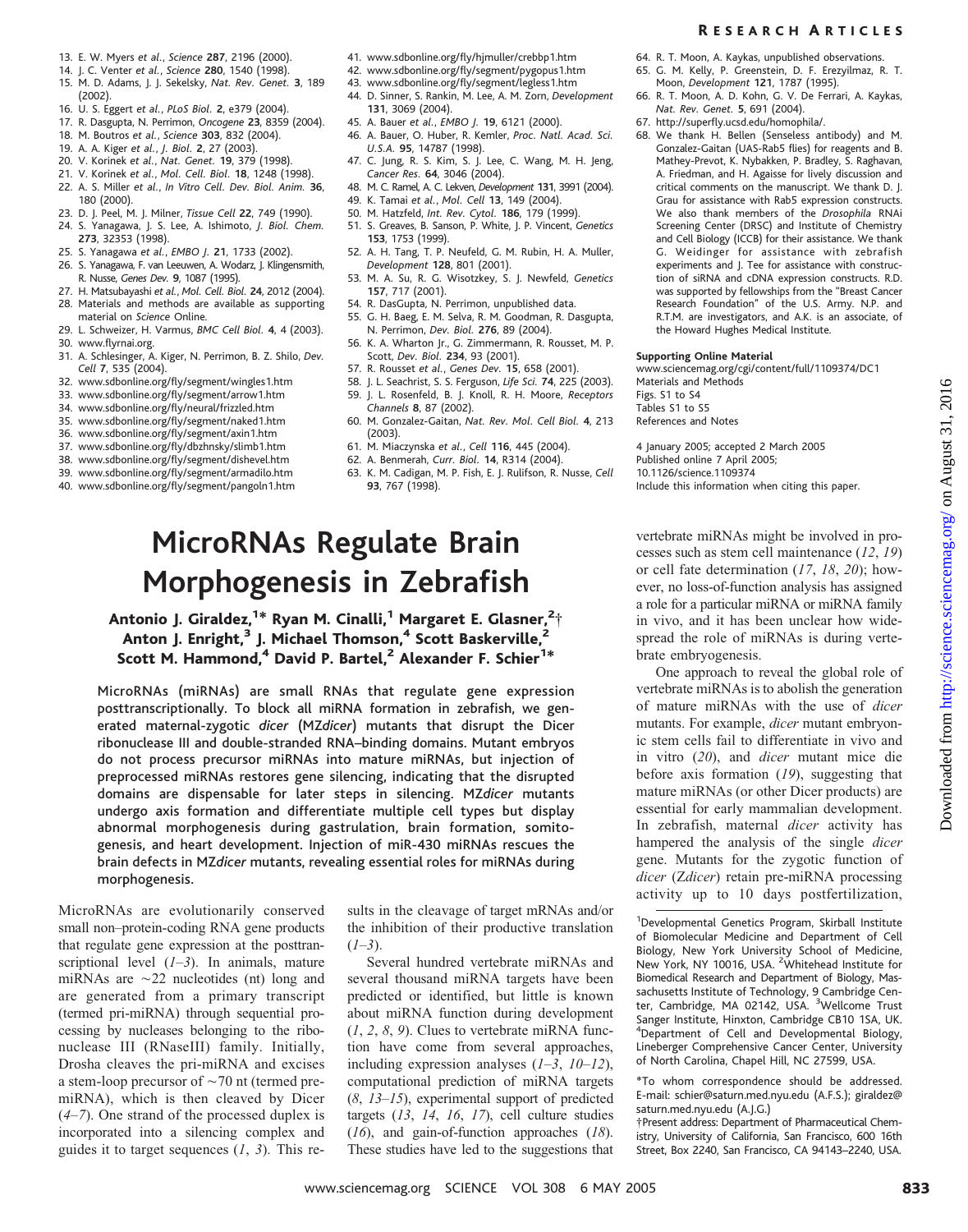- 13. E. W. Myers et al., Science 287, 2196 (2000).
- 14. J. C. Venter et al., Science 280, 1540 (1998). 15. M. D. Adams, J. J. Sekelsky, Nat. Rev. Genet. 3, 189 (2002).
- 16. U. S. Eggert et al., PLoS Biol. 2, e379 (2004).
- 17. R. Dasgupta, N. Perrimon, Oncogene 23, 8359 (2004).
- 18. M. Boutros et al., Science 303, 832 (2004).
- 19. A. A. Kiger et al., J. Biol. 2, 27 (2003).
- 20. V. Korinek et al., Nat. Genet. 19, 379 (1998).
- 21. V. Korinek et al., Mol. Cell. Biol. 18, 1248 (1998). 22. A. S. Miller et al., In Vitro Cell. Dev. Biol. Anim. 36, 180 (2000).
- 23. D. J. Peel, M. J. Milner, Tissue Cell 22, 749 (1990).
- 24. S. Yanagawa, J. S. Lee, A. Ishimoto, J. Biol. Chem. 273, 32353 (1998).
- 25. S. Yanagawa et al., EMBO J. 21, 1733 (2002).
- 26. S. Yanagawa, F. van Leeuwen, A. Wodarz, J. Klingensmith, R. Nusse, Genes Dev. 9, 1087 (1995).
- 27. H. Matsubayashi et al., Mol. Cell. Biol. 24, 2012 (2004). 28. Materials and methods are available as supporting
- material on Science Online. 29. L. Schweizer, H. Varmus, BMC Cell Biol. 4, 4 (2003).
- 30. www.flyrnai.org. 31. A. Schlesinger, A. Kiger, N. Perrimon, B. Z. Shilo, Dev. Cell 7, 535 (2004).
- 32. www.sdbonline.org/fly/segment/wingles1.htm
- 33. www.sdbonline.org/fly/segment/arrow1.htm
- 34. www.sdbonline.org/fly/neural/frizzled.htm
- 35. www.sdbonline.org/fly/segment/naked1.htm
- 36. www.sdbonline.org/fly/segment/axin1.htm
- 37. www.sdbonline.org/fly/dbzhnsky/slimb1.htm
- 38. www.sdbonline.org/fly/segment/dishevel.htm
- 39. www.sdbonline.org/fly/segment/armadilo.htm
- 40. www.sdbonline.org/fly/segment/pangoln1.htm
- 
- 41. www.sdbonline.org/fly/hjmuller/crebbp1.htm
- 42. www.sdbonline.org/fly/segment/pygopus1.htm
- 43. www.sdbonline.org/fly/segment/legless1.htm
- 44. D. Sinner, S. Rankin, M. Lee, A. M. Zorn, Development 131, 3069 (2004).
- 45. A. Bauer et al., EMBO J. 19, 6121 (2000). 46. A. Bauer, O. Huber, R. Kemler, Proc. Natl. Acad. Sci. U.S.A. 95, 14787 (1998).
- 47. C. Jung, R. S. Kim, S. J. Lee, C. Wang, M. H. Jeng, Cancer Res. 64, 3046 (2004).
- 48. M. C. Ramel, A. C. Lekven, Development 131, 3991 (2004).
- 49. K. Tamai et al., Mol. Cell 13, 149 (2004).
- 50. M. Hatzfeld, Int. Rev. Cytol. 186, 179 (1999).
- 51. S. Greaves, B. Sanson, P. White, J. P. Vincent, Genetics
- 153, 1753 (1999). 52. A. H. Tang, T. P. Neufeld, G. M. Rubin, H. A. Muller, Development 128, 801 (2001).
- 53. M. A. Su, R. G. Wisotzkey, S. J. Newfeld, Genetics 157, 717 (2001).
- 54. R. DasGupta, N. Perrimon, unpublished data.
- 55. G. H. Baeg, E. M. Selva, R. M. Goodman, R. Dasgupta, N. Perrimon, Dev. Biol. 276, 89 (2004).
- 56. K. A. Wharton Jr., G. Zimmermann, R. Rousset, M. P. Scott, Dev. Biol. 234, 93 (2001).
- 57. R. Rousset et al., Genes Dev. 15, 658 (2001).
- 58. J. L. Seachrist, S. S. Ferguson, Life Sci. 74, 225 (2003).
- 59. J. L. Rosenfeld, B. J. Knoll, R. H. Moore, Receptors
- Channels 8, 87 (2002). 60. M. Gonzalez-Gaitan, Nat. Rev. Mol. Cell Biol. 4, 213 (2003).
- 61. M. Miaczynska et al., Cell 116, 445 (2004).
- 62. A. Benmerah, Curr. Biol. 14, R314 (2004).
- 63. K. M. Cadigan, M. P. Fish, E. J. Rulifson, R. Nusse, Cell 93, 767 (1998).

## MicroRNAs Regulate Brain Morphogenesis in Zebrafish

### Antonio J. Giraldez,<sup>1\*</sup> Ryan M. Cinalli,<sup>1</sup> Margaret E. Glasner,<sup>2</sup>† Anton J. Enright,<sup>3</sup> J. Michael Thomson,<sup>4</sup> Scott Baskerville,<sup>2</sup> Scott M. Hammond,<sup>4</sup> David P. Bartel,<sup>2</sup> Alexander F. Schier<sup>1\*</sup>

MicroRNAs (miRNAs) are small RNAs that regulate gene expression posttranscriptionally. To block all miRNA formation in zebrafish, we generated maternal-zygotic dicer (MZdicer) mutants that disrupt the Dicer ribonuclease III and double-stranded RNA–binding domains. Mutant embryos do not process precursor miRNAs into mature miRNAs, but injection of preprocessed miRNAs restores gene silencing, indicating that the disrupted domains are dispensable for later steps in silencing. MZdicer mutants undergo axis formation and differentiate multiple cell types but display abnormal morphogenesis during gastrulation, brain formation, somitogenesis, and heart development. Injection of miR-430 miRNAs rescues the brain defects in MZdicer mutants, revealing essential roles for miRNAs during morphogenesis.

MicroRNAs are evolutionarily conserved small non–protein-coding RNA gene products that regulate gene expression at the posttranscriptional level  $(1-3)$ . In animals, mature miRNAs are  $\sim$  22 nucleotides (nt) long and are generated from a primary transcript (termed pri-miRNA) through sequential processing by nucleases belonging to the ribonuclease III (RNaseIII) family. Initially, Drosha cleaves the pri-miRNA and excises a stem-loop precursor of  $\sim$  70 nt (termed premiRNA), which is then cleaved by Dicer (4–7). One strand of the processed duplex is incorporated into a silencing complex and guides it to target sequences  $(1, 3)$ . This results in the cleavage of target mRNAs and/or the inhibition of their productive translation  $(1-3)$ .

Several hundred vertebrate miRNAs and several thousand miRNA targets have been predicted or identified, but little is known about miRNA function during development  $(1, 2, 8, 9)$ . Clues to vertebrate miRNA function have come from several approaches, including expression analyses  $(1-3, 10-12)$ , computational prediction of miRNA targets  $(8, 13-15)$ , experimental support of predicted targets (13, 14, 16, 17), cell culture studies (16), and gain-of-function approaches (18). These studies have led to the suggestions that

#### R ESEARCH A RTICLES

- 64. R. T. Moon, A. Kaykas, unpublished observations.
- 65. G. M. Kelly, P. Greenstein, D. F. Erezyilmaz, R. T. Moon, Development 121, 1787 (1995).
- 66. R. T. Moon, A. D. Kohn, G. V. De Ferrari, A. Kaykas, Nat. Rev. Genet. 5, 691 (2004).
- 67. http://superfly.ucsd.edu/homophila/.
- 68. We thank H. Bellen (Senseless antibody) and M. Gonzalez-Gaitan (UAS-Rab5 flies) for reagents and B. Mathey-Prevot, K. Nybakken, P. Bradley, S. Raghavan, A. Friedman, and H. Agaisse for lively discussion and critical comments on the manuscript. We thank D. J. Grau for assistance with Rab5 expression constructs. We also thank members of the Drosophila RNAi Screening Center (DRSC) and Institute of Chemistry and Cell Biology (ICCB) for their assistance. We thank G. Weidinger for assistance with zebrafish experiments and I. Tee for assistance with construction of siRNA and cDNA expression constructs. R.D. was supported by fellowships from the ''Breast Cancer Research Foundation'' of the U.S. Army. N.P. and R.T.M. are investigators, and A.K. is an associate, of the Howard Hughes Medical Institute.

#### Supporting Online Material

www.sciencemag.org/cgi/content/full/1109374/DC1 Materials and Methods Figs. S1 to S4 Tables S1 to S5

References and Notes

4 January 2005; accepted 2 March 2005 Published online 7 April 2005; 10.1126/science.1109374 Include this information when citing this paper.

vertebrate miRNAs might be involved in processes such as stem cell maintenance (12, 19) or cell fate determination (17, 18, 20); however, no loss-of-function analysis has assigned a role for a particular miRNA or miRNA family in vivo, and it has been unclear how widespread the role of miRNAs is during vertebrate embryogenesis.

One approach to reveal the global role of vertebrate miRNAs is to abolish the generation of mature miRNAs with the use of dicer mutants. For example, dicer mutant embryonic stem cells fail to differentiate in vivo and in vitro (20), and dicer mutant mice die before axis formation (19), suggesting that mature miRNAs (or other Dicer products) are essential for early mammalian development. In zebrafish, maternal dicer activity has hampered the analysis of the single *dicer* gene. Mutants for the zygotic function of dicer (Zdicer) retain pre-miRNA processing activity up to 10 days postfertilization,

<sup>1</sup>Developmental Genetics Program, Skirball Institute of Biomolecular Medicine and Department of Cell Biology, New York University School of Medicine, New York, NY 10016, USA. <sup>2</sup>Whitehead Institute for Biomedical Research and Department of Biology, Massachusetts Institute of Technology, 9 Cambridge Cen-<br>ter, Cambridge, MA 02142, USA. <sup>3</sup>Wellcome Trust Sanger Institute, Hinxton, Cambridge CB10 1SA, UK. 4 Department of Cell and Developmental Biology, Lineberger Comprehensive Cancer Center, University of North Carolina, Chapel Hill, NC 27599, USA.

\*To whom correspondence should be addressed. E-mail: schier@saturn.med.nyu.edu (A.F.S.); giraldez@ saturn.med.nyu.edu (A.J.G.)

.Present address: Department of Pharmaceutical Chemistry, University of California, San Francisco, 600 16th Street, Box 2240, San Francisco, CA 94143–2240, USA.